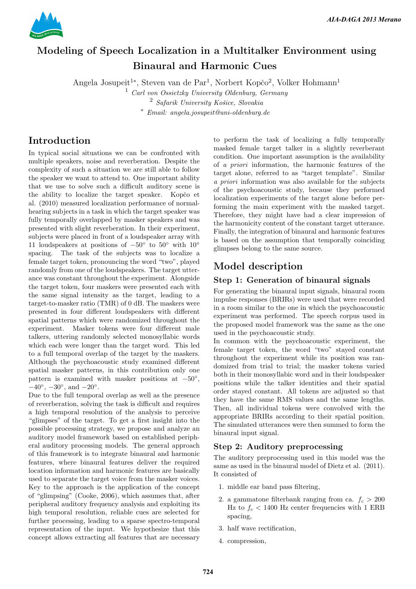

# Modeling of Speech Localization in a Multitalker Environment using Binaural and Harmonic Cues

Angela Josupeit<sup>1</sup><sup>\*</sup>, Steven van de Par<sup>1</sup>, Norbert Kopčo<sup>2</sup>, Volker Hohmann<sup>1</sup>

<sup>1</sup> Carl von Ossietzky University Oldenburg, Germany <sup>2</sup> Safarik University Košice, Slovakia

<sup>∗</sup> Email: angela.josupeit@uni-oldenburg.de

## Introduction

In typical social situations we can be confronted with multiple speakers, noise and reverberation. Despite the complexity of such a situation we are still able to follow the speaker we want to attend to. One important ability that we use to solve such a difficult auditory scene is the ability to localize the target speaker. Kopčo et al. (2010) measured localization performance of normalhearing subjects in a task in which the target speaker was fully temporally overlapped by masker speakers and was presented with slight reverberation. In their experiment, subjects were placed in front of a loudspeaker array with 11 loudspeakers at positions of −50◦ to 50◦ with 10◦ spacing. The task of the subjects was to localize a female target token, pronouncing the word "two", played randomly from one of the loudspeakers. The target utterance was constant throughout the experiment. Alongside the target token, four maskers were presented each with the same signal intensity as the target, leading to a target-to-masker ratio (TMR) of 0 dB. The maskers were presented in four different loudspeakers with different spatial patterns which were randomized throughout the experiment. Masker tokens were four different male talkers, uttering randomly selected monosyllabic words which each were longer than the target word. This led to a full temporal overlap of the target by the maskers. Although the psychoacoustic study examined different spatial masker patterns, in this contribution only one pattern is examined with masker positions at  $-50°$ ,  $-40^{\circ}$ ,  $-30^{\circ}$ , and  $-20^{\circ}$ .

Due to the full temporal overlap as well as the presence of reverberation, solving the task is difficult and requires a high temporal resolution of the analysis to perceive "glimpses" of the target. To get a first insight into the possible processing strategy, we propose and analyze an auditory model framework based on established peripheral auditory processing models. The general approach of this framework is to integrate binaural and harmonic features, where binaural features deliver the required location information and harmonic features are basically used to separate the target voice from the masker voices. Key to the approach is the application of the concept of "glimpsing" (Cooke, 2006), which assumes that, after peripheral auditory frequency analysis and exploiting its high temporal resolution, reliable cues are selected for further processing, leading to a sparse spectro-temporal representation of the input. We hypothesize that this concept allows extracting all features that are necessary

to perform the task of localizing a fully temporally masked female target talker in a slightly reverberant condition. One important assumption is the availability of a priori information, the harmonic features of the target alone, referred to as "target template". Similar a priori information was also available for the subjects of the psychoacoustic study, because they performed localization experiments of the target alone before performing the main experiment with the masked target. Therefore, they might have had a clear impression of the harmonicity content of the constant target utterance. Finally, the integration of binaural and harmonic features is based on the assumption that temporally coinciding glimpses belong to the same source.

## Model description

### Step 1: Generation of binaural signals

For generating the binaural input signals, binaural room impulse responses (BRIRs) were used that were recorded in a room similar to the one in which the psychoacoustic experiment was performed. The speech corpus used in the proposed model framework was the same as the one used in the psychoacoustic study.

In common with the psychoacoustic experiment, the female target token, the word "two" stayed constant throughout the experiment while its position was randomized from trial to trial; the masker tokens varied both in their monosyllabic word and in their loudspeaker positions while the talker identities and their spatial order stayed constant. All tokens are adjusted so that they have the same RMS values and the same lengths. Then, all individual tokens were convolved with the appropriate BRIRs according to their spatial position. The simulated utterances were then summed to form the binaural input signal.

### Step 2: Auditory preprocessing

The auditory preprocessing used in this model was the same as used in the binaural model of Dietz et al. (2011). It consisted of

- 1. middle ear band pass filtering,
- 2. a gammatone filterbank ranging from ca.  $f_c > 200$ Hz to  $f_c < 1400$  Hz center frequencies with 1 ERB spacing,
- 3. half wave rectification,
- 4. compression,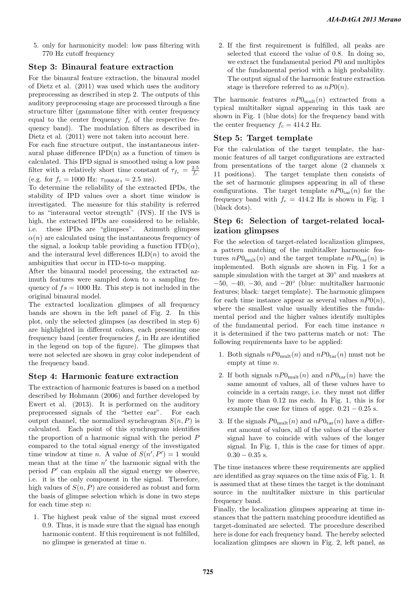5. only for harmonicity model: low pass filtering with 770 Hz cutoff frequency

#### Step 3: Binaural feature extraction

For the binaural feature extraction, the binaural model of Dietz et al. (2011) was used which uses the auditory preprocessing as described in step 2. The outputs of this auditory preprocessing stage are processed through a fine structure filter (gammatone filter with center frequency equal to the center frequency  $f_c$  of the respective frequency band). The modulation filters as described in Dietz et al. (2011) were not taken into account here.

For each fine structure output, the instantaneous interaural phase difference  $IPD(n)$  as a function of timen is calculated. This IPD signal is smoothed using a low pass filter with a relatively short time constant of  $\tau_{f_c} = \frac{2.5}{f_c}$ (e.g. for  $f_c = 1000$  Hz:  $\tau_{1000Hz} = 2.5$  ms).

To determine the reliability of the extracted IPDs, the stability of IPD values over a short time window is investigated. The measure for this stability is referred to as "interaural vector strength" (IVS). If the IVS is high, the extracted IPDs are considered to be reliable, i.e. these IPDs are "glimpses". Azimuth glimpses  $\alpha(n)$  are calculated using the instantaneous frequency of the signal, a lookup table providing a function  $ITD(\alpha)$ , and the interaural level differences  $\text{ILD}(n)$  to avoid the ambiguities that occur in ITD-to- $\alpha$  mapping.

After the binaural model processing, the extracted azimuth features were sampled down to a sampling frequency of  $fs = 1000$  Hz. This step is not included in the original binaural model.

The extracted localization glimpses of all frequency bands are shown in the left panel of Fig. 2. In this plot, only the selected glimpses (as described in step 6) are highlighted in different colors, each presenting one frequency band (center frequencies  $f_c$  in Hz are identified in the legend on top of the figure). The glimpses that were not selected are shown in gray color independent of the frequency band.

#### Step 4: Harmonic feature extraction

The extraction of harmonic features is based on a method described by Hohmann (2006) and further developed by Ewert et al. (2013). It is performed on the auditory preprocessed signals of the "better ear". For each output channel, the normalized synchrogram  $S(n, P)$  is calculated. Each point of this synchrogram identifies the proportion of a harmonic signal with the period P compared to the total signal energy of the investigated time window at time n. A value of  $S(n', P') = 1$  would mean that at the time  $n'$  the harmonic signal with the period  $P'$  can explain all the signal energy we observe, i.e. it is the only component in the signal. Therefore, high values of  $S(n, P)$  are considered as robust and form the basis of glimpse selection which is done in two steps for each time step n:

1. The highest peak value of the signal must exceed 0.9. Thus, it is made sure that the signal has enough harmonic content. If this requirement is not fulfilled, no glimpse is generated at time n.

2. If the first requirement is fulfilled, all peaks are selected that exceed the value of 0.8. In doing so, we extract the fundamental period P0 and multiples of the fundamental period with a high probability. The output signal of the harmonic feature extraction stage is therefore referred to as  $nP0(n)$ .

The harmonic features  $nP0_{mult}(n)$  extracted from a typical multitalker signal appearing in this task are shown in Fig. 1 (blue dots) for the frequency band with the center frequency  $f_c = 414.2$  Hz.

#### Step 5: Target template

For the calculation of the target template, the harmonic features of all target configurations are extracted from presentations of the target alone (2 channels x 11 positions). The target template then consists of the set of harmonic glimpses appearing in all of these configurations. The target template  $nP0_{\text{tar}}(n)$  for the frequency band with  $f_c = 414.2$  Hz is shown in Fig. 1 (black dots).

### Step 6: Selection of target-related localization glimpses

For the selection of target-related localization glimpses, a pattern matching of the multitalker harmonic features  $nP0_{\text{mult}}(n)$  and the target template  $nP0_{\text{tar}}(n)$  is implemented. Both signals are shown in Fig. 1 for a sample simulation with the target at 30<sup>°</sup> and maskers at  $-50, -40, -30, \text{ and } -20^{\circ}$  (blue: multitalker harmonic features; black: target template). The harmonic glimpses for each time instance appear as several values  $nP0(n)$ , where the smallest value usually identifies the fundamental period and the higher values identify multiples of the fundamental period. For each time instance  $n$ it is determined if the two patterns match or not: The following requirements have to be applied:

- 1. Both signals  $nP0_{\text{mult}}(n)$  and  $nP0_{\text{tar}}(n)$  must not be empty at time n.
- 2. If both signals  $nP0_{mult}(n)$  and  $nP0_{tar}(n)$  have the same amount of values, all of these values have to coincide in a certain range, i.e. they must not differ by more than 0.12 ms each. In Fig. 1, this is for example the case for times of appr.  $0.21 - 0.25$  s.
- 3. If the signals  $P0_{\text{mult}}(n)$  and  $nP0_{\text{tar}}(n)$  have a different amount of values, all of the values of the shorter signal have to coincide with values of the longer signal. In Fig. 1, this is the case for times of appr.  $0.30 - 0.35$  s.

The time instances where these requirements are applied are identified as gray squares on the time axis of Fig. 1. It is assumed that at these times the target is the dominant source in the multitalker mixture in this particular frequency band.

Finally, the localization glimpses appearing at time instances that the pattern matching procedure identified as target-dominated are selected. The procedure described here is done for each frequency band. The hereby selected localization glimpses are shown in Fig. 2, left panel, as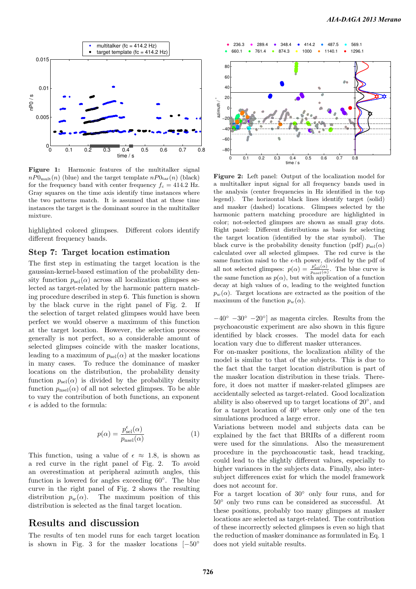

Figure 1: Harmonic features of the multitalker signal  $nP_{\text{mult}}(n)$  (blue) and the target template  $nP_{\text{tar}}(n)$  (black) for the frequency band with center frequency  $f_c = 414.2$  Hz. Gray squares on the time axis identify time instances where the two patterns match. It is assumed that at these time instances the target is the dominant source in the multitalker mixture.

highlighted colored glimpses. Different colors identify different frequency bands.

#### Step 7: Target location estimation

The first step in estimating the target location is the gaussian-kernel-based estimation of the probability density function  $p_{\text{sel}}(\alpha)$  across all localization glimpses selected as target-related by the harmonic pattern matching procedure described in step 6. This function is shown by the black curve in the right panel of Fig. 2. If the selection of target related glimpses would have been perfect we would observe a maximum of this function at the target location. However, the selection process generally is not perfect, so a considerable amount of selected glimpses coincide with the masker locations, leading to a maximum of  $p_{\text{sel}}(\alpha)$  at the masker locations in many cases. To reduce the dominance of masker locations on the distribution, the probability density function  $p_{\text{sel}}(\alpha)$  is divided by the probability density function  $p_{\text{nsel}}(\alpha)$  of all not selected glimpses. To be able to vary the contribution of both functions, an exponent  $\epsilon$  is added to the formula:

$$
p(\alpha) = \frac{p_{\text{sel}}^{\epsilon}(\alpha)}{p_{\text{nsel}}(\alpha)}\tag{1}
$$

This function, using a value of  $\epsilon \approx 1.8$ , is shown as a red curve in the right panel of Fig. 2. To avoid an overestimation at peripheral azimuth angles, this function is lowered for angles exceeding 60◦ . The blue curve in the right panel of Fig. 2 shows the resulting distribution  $p_w(\alpha)$ . The maximum position of this distribution is selected as the final target location.

### Results and discussion

The results of ten model runs for each target location is shown in Fig. 3 for the masker locations  $[-50^{\circ}$ 



Figure 2: Left panel: Output of the localization model for a multitalker input signal for all frequency bands used in the analysis (center frequencies in Hz identified in the top legend). The horizontal black lines identify target (solid) and masker (dashed) locations. Glimpses selected by the harmonic pattern matching procedure are highlighted in color; not-selected glimpses are shown as small gray dots. Right panel: Different distributions as basis for selecting the target location (identified by the star symbol). The black curve is the probability density function (pdf)  $p_{\text{sel}}(\alpha)$ calculated over all selected glimpses. The red curve is the same function raisd to the  $\epsilon$ -th power, divided by the pdf of all not selected glimpses:  $p(\alpha) = \frac{p_{\text{sel}}^{\epsilon}(\alpha)}{p_{\text{nsel}}(\alpha)}$ . The blue curve is the same function as  $p(\alpha)$ , but with application of a function decay at high values of  $\alpha$ , leading to the weighted function  $p_w(\alpha)$ . Target locations are extracted as the position of the maximum of the function  $p_w(\alpha)$ .

 $-40° -30° -20°$  as magenta circles. Results from the psychoacoustic experiment are also shown in this figure identified by black crosses. The model data for each location vary due to different masker utterances.

For on-masker positions, the localization ability of the model is similar to that of the subjects. This is due to the fact that the target location distribution is part of the masker location distribution in these trials. Therefore, it does not matter if masker-related glimpses are accidentally selected as target-related. Good localization ability is also observed up to target locations of 20◦ , and for a target location of  $40°$  where only one of the ten simulations produced a large error.

Variations between model and subjects data can be explained by the fact that BRIRs of a different room were used for the simulations. Also the measurement procedure in the psychoacoustic task, head tracking, could lead to the slightly different values, especially to higher variances in the subjects data. Finally, also intersubject differences exist for which the model framework does not account for.

For a target location of 30◦ only four runs, and for 50◦ only two runs can be considered as successful. At these positions, probably too many glimpses at masker locations are selected as target-related. The contribution of these incorrectly selected glimpses is even so high that the reduction of masker dominance as formulated in Eq. 1 does not yield suitable results.